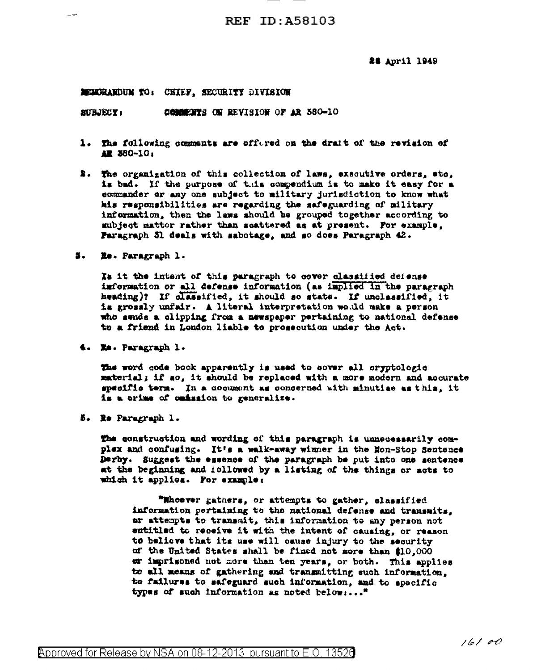24 April 1949

## MEMORANDUM TO: CRIEF, SECURITY DIVISION

COMMENTS ON REVISION OF AR 380-10 **SUBJECT:** 

- 1. The following comments are offered on the drait of the revision of AR 380-10:
- 2. The organization of this collection of laws, executive orders, etc, is bad. If the purpose of this compendium is to make it easy for a commander or any one subject to military jurisdiction to know what his responsibilities are regarding the safeguarding of military information, then the laws should be grouped together according to subject matter rather than seattered as at present. For example, Faragraph 31 deals with sabotage, and so does Paragraph 42.
- 5. Re. Paragraph 1.

Is it the intent of this paragraph to cover classified defense information or all defense information (as implied in the paragraph heading)? If classified, it should so state. If unclassified, it is grossly unfair. A literal interpretation would make a person who sends a clipping from a newspaper pertaining to national defense to a friend in London liable to prosecution under the Act.

4. Xa. Paragraph 1.

The word code book apparently is used to cover all cryptologic material; if so, it should be replaced with a more modern and accurate specific term. In a cocument as concerned with minutiae as this, it is a crime of cmission to generalize.

5. Re Paragraph 1.

The construction and wording of this paragraph is unnecessarily complex and confusing. It's a walk-away winner in the Hon-Stop Sentence Derby. Suggest the essence of the paragraph be put into one sentence at the beginning and icllowed by a listing of the things or acts to which it applies. For example:

"Whoever gathers, or attempts to gather, classified information pertaining to the national defense and transmits. ar attempts to transmit, this information to any person not entitled to receive it with the intent of causing, or reason to believe that its use will cause injury to the security of the United States shall be fined not more than \$10,000 er imprisoned not more than ten years, or both. This applies to all means of gathering and transmitting such information, to failures to safeguard such information, and to specific types of such information as noted below:..."